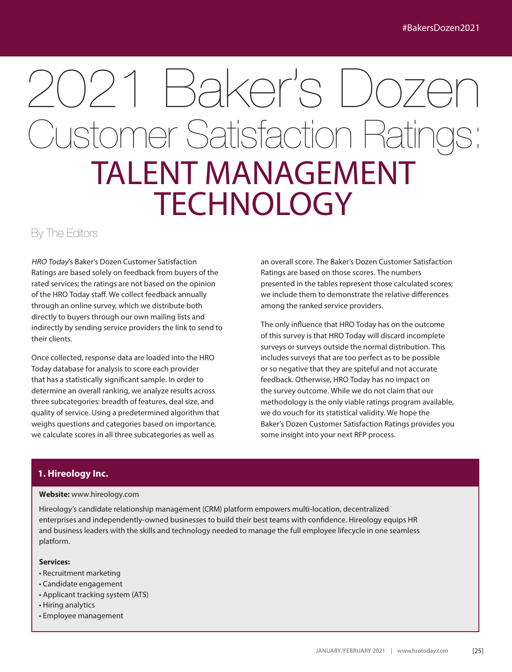# 2021 Baker's Dozen **Customer Satisfaction Rating** TALENT MANAGEMENT **TECHNOLOGY**

By The Editors

HRO Today's Baker's Dozen Customer Satisfaction Ratings are based solely on feedback from buyers of the rated services; the ratings are not based on the opinion of the HRO Today staff. We collect feedback annually through an online survey, which we distribute both directly to buyers through our own mailing lists and indirectly by sending service providers the link to send to their clients.

Once collected, response data are loaded into the HRO Today database for analysis to score each provider that has a statistically significant sample. In order to determine an overall ranking, we analyze results across three subcategories: breadth of features, deal size, and quality of service. Using a predetermined algorithm that weighs questions and categories based on importance, we calculate scores in all three subcategories as well as

an overall score. The Baker's Dozen Customer Satisfaction Ratings are based on those scores. The numbers presented in the tables represent those calculated scores; we include them to demonstrate the relative differences among the ranked service providers.

The only influence that HRO Today has on the outcome of this survey is that HRO Today will discard incomplete surveys or surveys outside the normal distribution. This includes surveys that are too perfect as to be possible or so negative that they are spiteful and not accurate feedback. Otherwise, HRO Today has no impact on the survey outcome. While we do not claim that our methodology is the only viable ratings program available, we do vouch for its statistical validity. We hope the Baker's Dozen Customer Satisfaction Ratings provides you some insight into your next RFP process.

# **1. Hireology Inc.**

#### **Website:** www.hireology.com

Hireology's candidate relationship management (CRM) platform empowers multi-location, decentralized enterprises and independently-owned businesses to build their best teams with confidence. Hireology equips HR and business leaders with the skills and technology needed to manage the full employee lifecycle in one seamless platform.

#### **Services:**

- Recruitment marketing
- Candidate engagement
- Applicant tracking system (ATS)
- Hiring analytics
- Employee management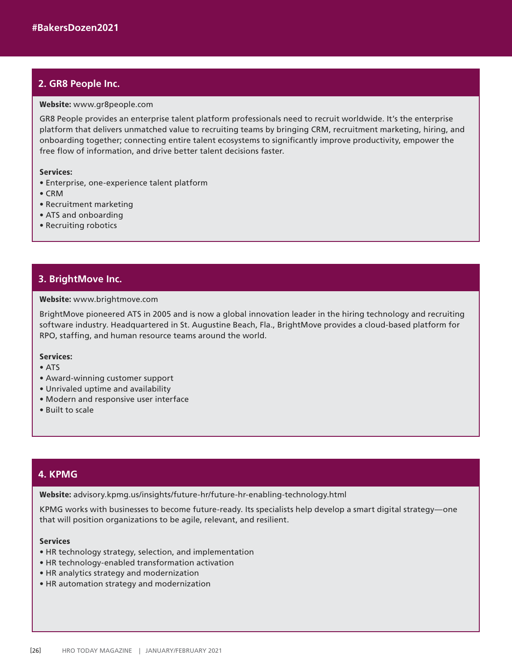## **2. GR8 People Inc.**

#### Website: www.gr8people.com

GR8 People provides an enterprise talent platform professionals need to recruit worldwide. It's the enterprise platform that delivers unmatched value to recruiting teams by bringing CRM, recruitment marketing, hiring, and onboarding together; connecting entire talent ecosystems to significantly improve productivity, empower the free flow of information, and drive better talent decisions faster.

#### Services:

- Enterprise, one-experience talent platform
- CRM
- Recruitment marketing
- ATS and onboarding
- Recruiting robotics

## **3. BrightMove Inc.**

#### Website: www.brightmove.com

BrightMove pioneered ATS in 2005 and is now a global innovation leader in the hiring technology and recruiting software industry. Headquartered in St. Augustine Beach, Fla., BrightMove provides a cloud-based platform for RPO, staffing, and human resource teams around the world.

#### Services:

- ATS
- Award-winning customer support
- Unrivaled uptime and availability
- Modern and responsive user interface
- Built to scale

#### 4. KPMG **4. KPMG**

Website: advisory.kpmg.us/insights/future-hr/future-hr-enabling-technology.html

KPMG works with businesses to become future-ready. Its specialists help develop a smart digital strategy—one that will position organizations to be agile, relevant, and resilient.

#### **Services**

- HR technology strategy, selection, and implementation
- HR technology-enabled transformation activation
- HR analytics strategy and modernization
- HR automation strategy and modernization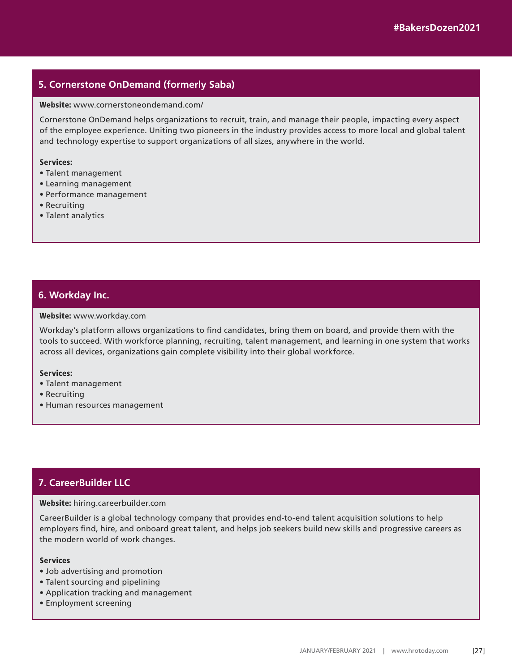# **5. Cornerstone OnDemand (formerly Saba)**

#### Website: www.cornerstoneondemand.com/

Cornerstone OnDemand helps organizations to recruit, train, and manage their people, impacting every aspect of the employee experience. Uniting two pioneers in the industry provides access to more local and global talent and technology expertise to support organizations of all sizes, anywhere in the world.

#### Services:

- Talent management
- Learning management
- Performance management
- Recruiting
- Talent analytics

### **6. Workday Inc.**

#### Website: www.workday.com

Workday's platform allows organizations to find candidates, bring them on board, and provide them with the tools to succeed. With workforce planning, recruiting, talent management, and learning in one system that works across all devices, organizations gain complete visibility into their global workforce.

#### Services:

- Talent management
- Recruiting
- Human resources management

# **7. CareerBuilder LLC**

#### Website: hiring.careerbuilder.com

CareerBuilder is a global technology company that provides end-to-end talent acquisition solutions to help employers find, hire, and onboard great talent, and helps job seekers build new skills and progressive careers as the modern world of work changes.

#### **Services**

- Job advertising and promotion
- Talent sourcing and pipelining
- Application tracking and management
- Employment screening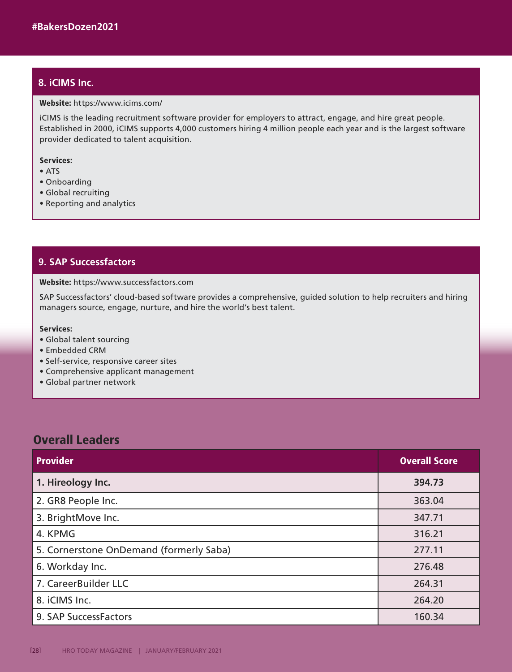# **8. iCIMS Inc.**

#### Website: https://www.icims.com/

iCIMS is the leading recruitment software provider for employers to attract, engage, and hire great people. Established in 2000, iCIMS supports 4,000 customers hiring 4 million people each year and is the largest software provider dedicated to talent acquisition.

#### Services:

- ATS
- Onboarding
- Global recruiting
- Reporting and analytics

## **9. SAP Successfactors**

#### Website: https://www.successfactors.com

SAP Successfactors' cloud-based software provides a comprehensive, guided solution to help recruiters and hiring managers source, engage, nurture, and hire the world's best talent.

#### Services:

- Global talent sourcing
- Embedded CRM
- Self-service, responsive career sites
- Comprehensive applicant management
- Global partner network

# Overall Leaders

| <b>Provider</b>                         | <b>Overall Score</b> |
|-----------------------------------------|----------------------|
| 1. Hireology Inc.                       | 394.73               |
| 2. GR8 People Inc.                      | 363.04               |
| 3. BrightMove Inc.                      | 347.71               |
| 4. KPMG                                 | 316.21               |
| 5. Cornerstone OnDemand (formerly Saba) | 277.11               |
| 6. Workday Inc.                         | 276.48               |
| 7. CareerBuilder LLC                    | 264.31               |
| 8. iCIMS Inc.                           | 264.20               |
| 9. SAP SuccessFactors                   | 160.34               |